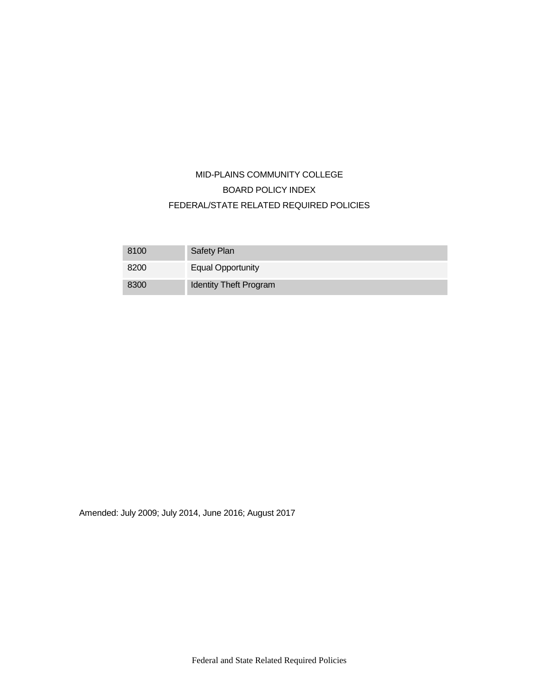# MID-PLAINS COMMUNITY COLLEGE BOARD POLICY INDEX FEDERAL/STATE RELATED REQUIRED POLICIES

| 8100 | Safety Plan                   |
|------|-------------------------------|
| 8200 | <b>Equal Opportunity</b>      |
| 8300 | <b>Identity Theft Program</b> |

Amended: July 2009; July 2014, June 2016; August 2017

Federal and State Related Required Policies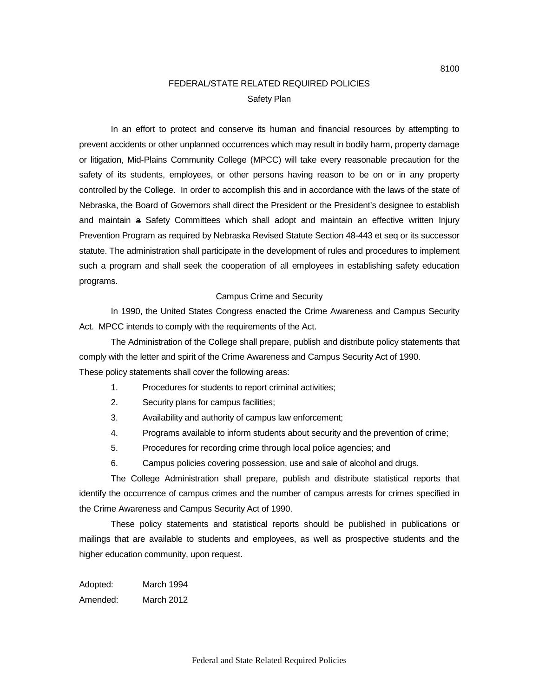### FEDERAL/STATE RELATED REQUIRED POLICIES Safety Plan

In an effort to protect and conserve its human and financial resources by attempting to prevent accidents or other unplanned occurrences which may result in bodily harm, property damage or litigation, Mid-Plains Community College (MPCC) will take every reasonable precaution for the safety of its students, employees, or other persons having reason to be on or in any property controlled by the College. In order to accomplish this and in accordance with the laws of the state of Nebraska, the Board of Governors shall direct the President or the President's designee to establish and maintain a Safety Committees which shall adopt and maintain an effective written Injury Prevention Program as required by Nebraska Revised Statute Section 48-443 et seq or its successor statute. The administration shall participate in the development of rules and procedures to implement such a program and shall seek the cooperation of all employees in establishing safety education programs.

#### Campus Crime and Security

In 1990, the United States Congress enacted the Crime Awareness and Campus Security Act. MPCC intends to comply with the requirements of the Act.

The Administration of the College shall prepare, publish and distribute policy statements that comply with the letter and spirit of the Crime Awareness and Campus Security Act of 1990. These policy statements shall cover the following areas:

- 1. Procedures for students to report criminal activities;
- 2. Security plans for campus facilities;
- 3. Availability and authority of campus law enforcement;
- 4. Programs available to inform students about security and the prevention of crime;
- 5. Procedures for recording crime through local police agencies; and
- 6. Campus policies covering possession, use and sale of alcohol and drugs.

The College Administration shall prepare, publish and distribute statistical reports that identify the occurrence of campus crimes and the number of campus arrests for crimes specified in the Crime Awareness and Campus Security Act of 1990.

These policy statements and statistical reports should be published in publications or mailings that are available to students and employees, as well as prospective students and the higher education community, upon request.

Adopted: March 1994 Amended: March 2012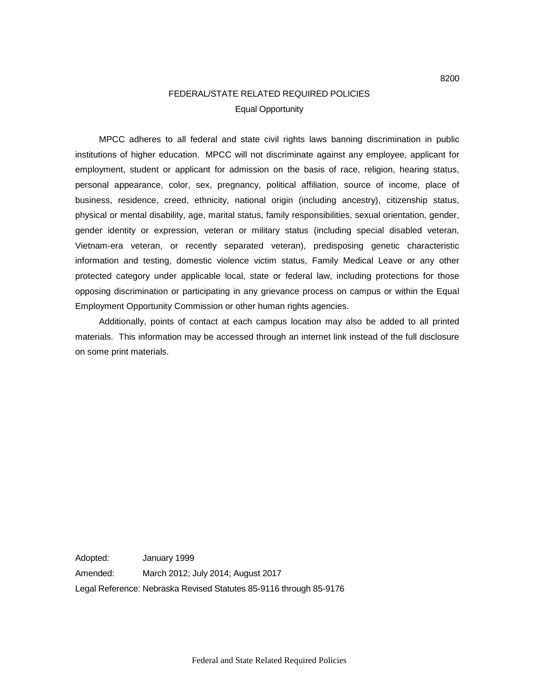## FEDERAL/STATE RELATED REQUIRED POLICIES Equal Opportunity

MPCC adheres to all federal and state civil rights laws banning discrimination in public institutions of higher education. MPCC will not discriminate against any employee, applicant for employment, student or applicant for admission on the basis of race, religion, hearing status, personal appearance, color, sex, pregnancy, political affiliation, source of income, place of business, residence, creed, ethnicity, national origin (including ancestry), citizenship status, physical or mental disability, age, marital status, family responsibilities, sexual orientation, gender, gender identity or expression, veteran or military status (including special disabled veteran, Vietnam-era veteran, or recently separated veteran), predisposing genetic characteristic information and testing, domestic violence victim status, Family Medical Leave or any other protected category under applicable local, state or federal law, including protections for those opposing discrimination or participating in any grievance process on campus or within the Equal Employment Opportunity Commission or other human rights agencies.

Additionally, points of contact at each campus location may also be added to all printed materials. This information may be accessed through an internet link instead of the full disclosure on some print materials.

Adopted: January 1999 Amended: March 2012; July 2014; August 2017 Legal Reference: Nebraska Revised Statutes 85-9116 through 85-9176